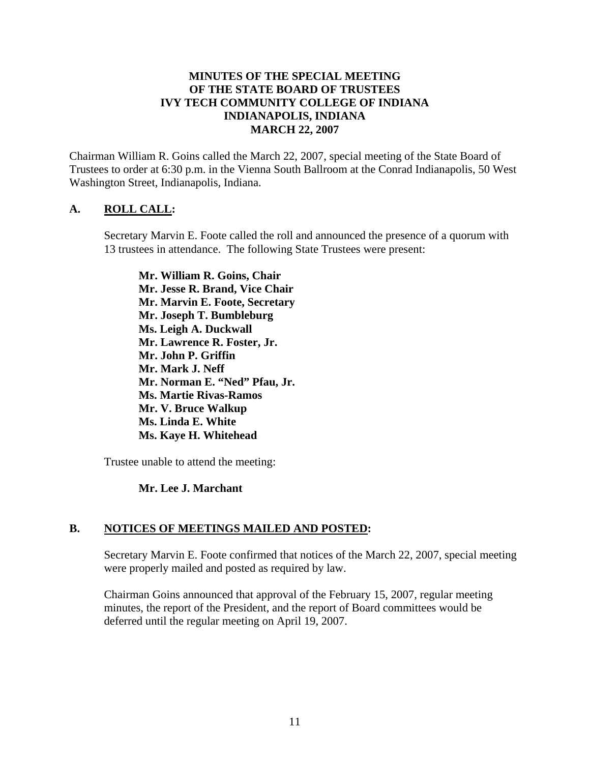### **MINUTES OF THE SPECIAL MEETING OF THE STATE BOARD OF TRUSTEES IVY TECH COMMUNITY COLLEGE OF INDIANA INDIANAPOLIS, INDIANA MARCH 22, 2007**

Chairman William R. Goins called the March 22, 2007, special meeting of the State Board of Trustees to order at 6:30 p.m. in the Vienna South Ballroom at the Conrad Indianapolis, 50 West Washington Street, Indianapolis, Indiana.

### **A. ROLL CALL:**

Secretary Marvin E. Foote called the roll and announced the presence of a quorum with 13 trustees in attendance. The following State Trustees were present:

**Mr. William R. Goins, Chair Mr. Jesse R. Brand, Vice Chair Mr. Marvin E. Foote, Secretary Mr. Joseph T. Bumbleburg Ms. Leigh A. Duckwall Mr. Lawrence R. Foster, Jr. Mr. John P. Griffin Mr. Mark J. Neff Mr. Norman E. "Ned" Pfau, Jr. Ms. Martie Rivas-Ramos Mr. V. Bruce Walkup Ms. Linda E. White Ms. Kaye H. Whitehead** 

Trustee unable to attend the meeting:

#### **Mr. Lee J. Marchant**

## **B. NOTICES OF MEETINGS MAILED AND POSTED:**

Secretary Marvin E. Foote confirmed that notices of the March 22, 2007, special meeting were properly mailed and posted as required by law.

Chairman Goins announced that approval of the February 15, 2007, regular meeting minutes, the report of the President, and the report of Board committees would be deferred until the regular meeting on April 19, 2007.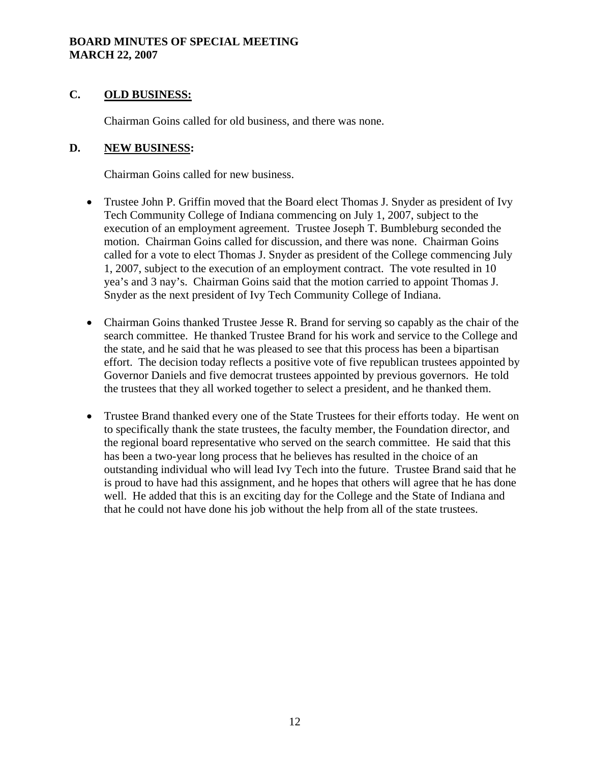#### **BOARD MINUTES OF SPECIAL MEETING MARCH 22, 2007**

# **C. OLD BUSINESS:**

Chairman Goins called for old business, and there was none.

## **D. NEW BUSINESS:**

Chairman Goins called for new business.

- Trustee John P. Griffin moved that the Board elect Thomas J. Snyder as president of Ivy Tech Community College of Indiana commencing on July 1, 2007, subject to the execution of an employment agreement. Trustee Joseph T. Bumbleburg seconded the motion. Chairman Goins called for discussion, and there was none. Chairman Goins called for a vote to elect Thomas J. Snyder as president of the College commencing July 1, 2007, subject to the execution of an employment contract. The vote resulted in 10 yea's and 3 nay's. Chairman Goins said that the motion carried to appoint Thomas J. Snyder as the next president of Ivy Tech Community College of Indiana.
- Chairman Goins thanked Trustee Jesse R. Brand for serving so capably as the chair of the search committee. He thanked Trustee Brand for his work and service to the College and the state, and he said that he was pleased to see that this process has been a bipartisan effort. The decision today reflects a positive vote of five republican trustees appointed by Governor Daniels and five democrat trustees appointed by previous governors. He told the trustees that they all worked together to select a president, and he thanked them.
- Trustee Brand thanked every one of the State Trustees for their efforts today. He went on to specifically thank the state trustees, the faculty member, the Foundation director, and the regional board representative who served on the search committee. He said that this has been a two-year long process that he believes has resulted in the choice of an outstanding individual who will lead Ivy Tech into the future. Trustee Brand said that he is proud to have had this assignment, and he hopes that others will agree that he has done well. He added that this is an exciting day for the College and the State of Indiana and that he could not have done his job without the help from all of the state trustees.